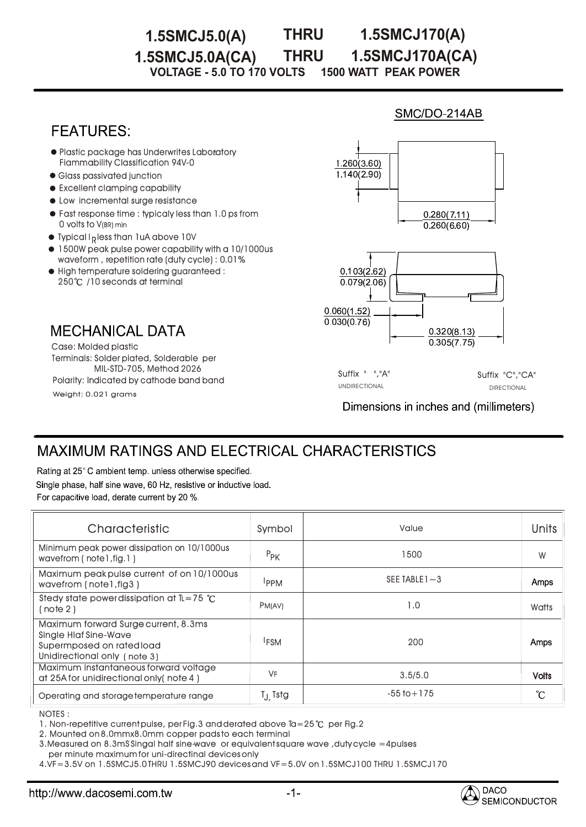#### **THRU 1.5SMCJ5.0(A) THRU 1.5SMCJ170(A) 1.5SMCJ5.0A(CA) 1.5SMCJ170A(CA)**

**VOLTAGE - 5.0 TO 170 VOLTS 1500 WATT PEAK POWER** 

## **FEATURES:**

- **Plastic package has Underwrites Laboratory** Fiammability Classification 94V-0
- Glass passivated junction
- $\bullet$  Excellent clamping capability
- $\bullet$  Low incremental surge resistance
- Fast response time : typicaly less than 1.0 ps from  $\,$ 0 volts to V(BR) min
- $\bullet$  Typical I<sub>R</sub> less than 1uA above 10V
- $\bullet$  1500W peak pulse power capability with a 10/1000us waveform , repetition rate (duty cycle) : 0.01%
- High temperature soldering guaranteed : 250°C /10 seconds at terminal

### **MECHANICAL DATA**

Weight: 0.021 grams Terminals: Solder plated, Solderable per MIL-STD-705, Method 2026 Case: Molded plastic Polarity: Indicated by cathode band band

# $1.260(3.60)$  $1140(290)$  $0.280(7.11)$  $0.260(660)$  $0.103(2.62)$

SMC/DO-214AB



Suffix " ","A" Suffix "C","CA" UNDIRECTIONAL DIRECTIONAL

Dimensions in inches and (millimeters)

# **MAXIMUM RATINGS AND ELECTRICAL CHARACTERISTICS**

Rating at 25°C ambient temp. unless otherwise specified. Single phase, half sine wave, 60 Hz, resistive or inductive load. For capacitive load, derate current by 20 %.

| Characteristic                                                                                                                    | Symbol              | Value             | Units        |
|-----------------------------------------------------------------------------------------------------------------------------------|---------------------|-------------------|--------------|
| Minimum peak power dissipation on 10/1000us<br>wavefrom (note l, fig. 1)                                                          | $P_{PK}$            | 1500              | W            |
| Maximum peak pulse current of on 10/1000us<br>wavefrom (note I, fig 3)                                                            | <b>IPPM</b>         | SEE TABLE $1 - 3$ | Amps         |
| Stedy state power dissipation at $IL = 75$ °C<br>(note 2)                                                                         | PM(AV)              | 1.0               | Watts        |
| Maximum forward Surge current, 8.3ms<br><b>Single Hiaf Sine-Wave</b><br>Supermposed on rated load<br>Unidirectional only (note 3) | <sup>I</sup> FSM    | 200               | Amps         |
| Maximum instantaneous forward voltage<br>at 25A for unidirectional only (note 4)                                                  | <b>VF</b>           | 3.5/5.0           | <b>Volts</b> |
| Operating and storage temperature range                                                                                           | T <sub>J</sub> Tstg | $-55$ to $+175$   | °C           |

NOTES : :

1. Non-repetitive current pulse, per Fig.3 and derated above Ta=25  $^{\circ}$ C per Fig.2

2. Mounted on 8.0mmx8.0mm copper pads to each terminal

3.Measured on 8.3mS Singal half sine-wave or equivalent square wave ,duty cycle =4pulses per minute maximum for uni-directinal devices only

4.VF=3.5V on 1.5SMCJ5.0 THRU 1.5SMCJ90 devices and VF=5.0V on 1.5SMCJ100 THRU 1.5SMCJ170 1.5SMCJ170

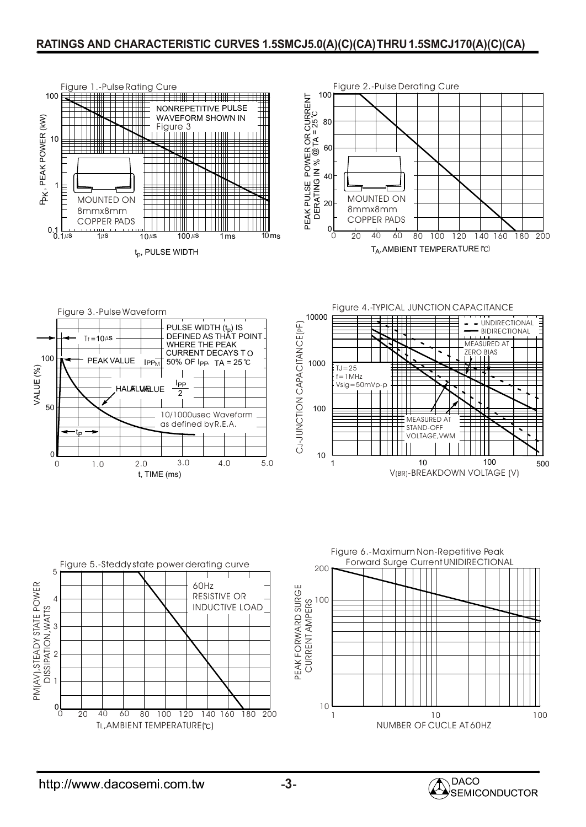### **RATINGS AND CHARACTERISTIC CURVES 1.5SMCJ5.0(A)(C)(CA)THRU1.5SMCJ170(A)(C)(CA)**













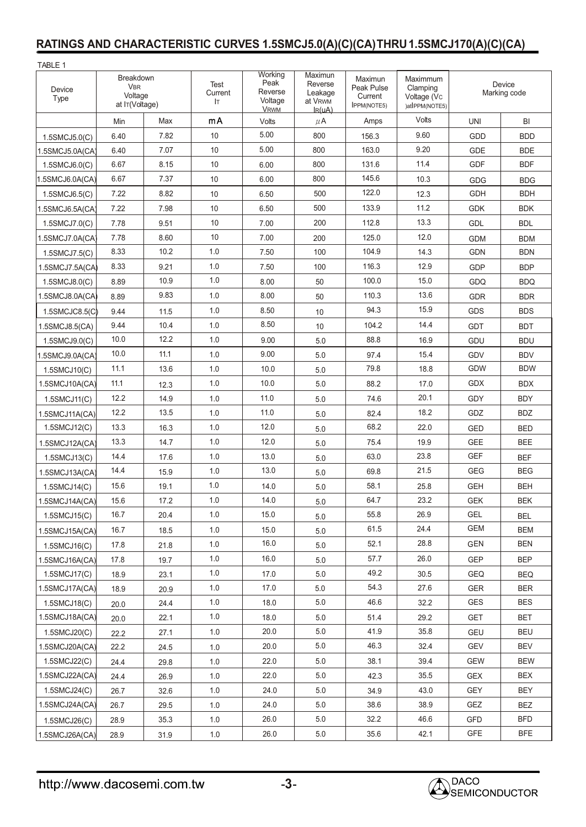# **RATINGS AND CHARACTERISTIC CURVES 1.5SMCJ5.0(A)(C)(CA)THRU1.5SMCJ170(A)(C)(CA)**

| TABLE 1              |                                                      |      |                       |                                                      |                                                                |                                                        |                                                       |                        |            |
|----------------------|------------------------------------------------------|------|-----------------------|------------------------------------------------------|----------------------------------------------------------------|--------------------------------------------------------|-------------------------------------------------------|------------------------|------------|
| Device<br>Type       | Breakdown<br><b>VBR</b><br>Voltage<br>at IT(Voltage) |      | Test<br>Current<br>Iт | Working<br>Peak<br>Reverse<br>Voltage<br><b>VRWM</b> | Maximun<br>Reverse<br>Leakage<br>at V <sub>RWM</sub><br>IR(uA) | Maximun<br>Peak Pulse<br>Current<br><b>IPPM(NOTE5)</b> | Maximmum<br>Clamping<br>Voltage (Vc<br>)atIPPM(NOTE5) | Device<br>Marking code |            |
|                      | Min                                                  | Max  | mA                    | Volts                                                | $\mu$ A                                                        | Amps                                                   | Volts                                                 | <b>UNI</b>             | BI         |
| $1.5$ SMCJ $5.0$ (C) | 6.40                                                 | 7.82 | 10                    | 5.00                                                 | 800                                                            | 156.3                                                  | 9.60                                                  | <b>GDD</b>             | <b>BDD</b> |
| 1.5SMCJ5.0A(CA)      | 6.40                                                 | 7.07 | 10                    | 5.00                                                 | 800                                                            | 163.0                                                  | 9.20                                                  | <b>GDE</b>             | <b>BDE</b> |
| 1.5SMCJ6.0(C)        | 6.67                                                 | 8.15 | 10                    | 6.00                                                 | 800                                                            | 131.6                                                  | 11.4                                                  | <b>GDF</b>             | <b>BDF</b> |
| 1.5SMCJ6.0A(CA)      | 6.67                                                 | 7.37 | 10                    | 6.00                                                 | 800                                                            | 145.6                                                  | 10.3                                                  | GDG                    | <b>BDG</b> |
| 1.5SMCJ6.5(C)        | 7.22                                                 | 8.82 | 10                    | 6.50                                                 | 500                                                            | 122.0                                                  | 12.3                                                  | <b>GDH</b>             | <b>BDH</b> |
| 1.5SMCJ6.5A(CA)      | 7.22                                                 | 7.98 | 10                    | 6.50                                                 | 500                                                            | 133.9                                                  | 11.2                                                  | <b>GDK</b>             | <b>BDK</b> |
| 1.5SMCJ7.0(C)        | 7.78                                                 | 9.51 | 10                    | 7.00                                                 | 200                                                            | 112.8                                                  | 13.3                                                  | GDL                    | <b>BDL</b> |
| 1.5SMCJ7.0A(CA)      | 7.78                                                 | 8.60 | 10                    | 7.00                                                 | 200                                                            | 125.0                                                  | 12.0                                                  | <b>GDM</b>             | <b>BDM</b> |
| 1.5SMCJ7.5(C)        | 8.33                                                 | 10.2 | 1.0                   | 7.50                                                 | 100                                                            | 104.9                                                  | 14.3                                                  | <b>GDN</b>             | <b>BDN</b> |
| 1.5SMCJ7.5A(CA)      | 8.33                                                 | 9.21 | 1.0                   | 7.50                                                 | 100                                                            | 116.3                                                  | 12.9                                                  | <b>GDP</b>             | <b>BDP</b> |
| 1.5SMCJ8.0(C)        | 8.89                                                 | 10.9 | 1.0                   | 8.00                                                 | 50                                                             | 100.0                                                  | 15.0                                                  | GDQ                    | <b>BDQ</b> |
| 1.5SMCJ8.0A(CA)      | 8.89                                                 | 9.83 | 1.0                   | 8.00                                                 | 50                                                             | 110.3                                                  | 13.6                                                  | <b>GDR</b>             | <b>BDR</b> |
| 1.5SMCJC8.5(C)       | 9.44                                                 | 11.5 | 1.0                   | 8.50                                                 | 10                                                             | 94.3                                                   | 15.9                                                  | <b>GDS</b>             | <b>BDS</b> |
| 1.5SMCJ8.5(CA)       | 9.44                                                 | 10.4 | 1.0                   | 8.50                                                 | 10                                                             | 104.2                                                  | 14.4                                                  | <b>GDT</b>             | <b>BDT</b> |
| 1.5SMCJ9.0(C)        | 10.0                                                 | 12.2 | 1.0                   | 9.00                                                 | 5.0                                                            | 88.8                                                   | 16.9                                                  | GDU                    | <b>BDU</b> |
| 1.5SMCJ9.0A(CA)      | 10.0                                                 | 11.1 | 1.0                   | 9.00                                                 | 5.0                                                            | 97.4                                                   | 15.4                                                  | <b>GDV</b>             | <b>BDV</b> |
| 1.5SMCJ10(C)         | 11.1                                                 | 13.6 | 1.0                   | 10.0                                                 | 5.0                                                            | 79.8                                                   | 18.8                                                  | <b>GDW</b>             | <b>BDW</b> |
| 1.5SMCJ10A(CA)       | 11.1                                                 | 12.3 | 1.0                   | 10.0                                                 | 5.0                                                            | 88.2                                                   | 17.0                                                  | <b>GDX</b>             | <b>BDX</b> |
| 1.5SMCJ11(C)         | 12.2                                                 | 14.9 | 1.0                   | 11.0                                                 | 5.0                                                            | 74.6                                                   | 20.1                                                  | GDY                    | <b>BDY</b> |
| 1.5SMCJ11A(CA)       | 12.2                                                 | 13.5 | 1.0                   | 11.0                                                 | 5.0                                                            | 82.4                                                   | 18.2                                                  | GDZ                    | <b>BDZ</b> |
| 1.5SMCJ12(C)         | 13.3                                                 | 16.3 | 1.0                   | 12.0                                                 | 5.0                                                            | 68.2                                                   | 22.0                                                  | <b>GED</b>             | <b>BED</b> |
| 1.5SMCJ12A(CA)       | 13.3                                                 | 14.7 | 1.0                   | 12.0                                                 | 5.0                                                            | 75.4                                                   | 19.9                                                  | <b>GEE</b>             | <b>BEE</b> |
| 1.5SMCJ13(C)         | 14.4                                                 | 17.6 | 1.0                   | 13.0                                                 | 5.0                                                            | 63.0                                                   | 23.8                                                  | <b>GEF</b>             | <b>BEF</b> |
| 1.5SMCJ13A(CA)       | 14.4                                                 | 15.9 | 1.0                   | 13.0                                                 | 5.0                                                            | 69.8                                                   | 21.5                                                  | <b>GEG</b>             | <b>BEG</b> |
| 1.5SMCJ14(C)         | 15.6                                                 | 19.1 | 1.0                   | 14.0                                                 | 5.0                                                            | 58.1                                                   | 25.8                                                  | <b>GEH</b>             | <b>BEH</b> |
| 1.5SMCJ14A(CA)       | 15.6                                                 | 17.2 | $1.0\,$               | 14.0                                                 | 5.0                                                            | 64.7                                                   | 23.2                                                  | GEK                    | <b>BEK</b> |
| 1.5SMCJ15(C)         | 16.7                                                 | 20.4 | 1.0                   | 15.0                                                 | 5.0                                                            | 55.8                                                   | 26.9                                                  | GEL                    | <b>BEL</b> |
| 1.5SMCJ15A(CA)       | 16.7                                                 | 18.5 | 1.0                   | 15.0                                                 | 5.0                                                            | 61.5                                                   | 24.4                                                  | <b>GEM</b>             | <b>BEM</b> |
| 1.5SMCJ16(C)         | 17.8                                                 | 21.8 | 1.0                   | 16.0                                                 | 5.0                                                            | 52.1                                                   | 28.8                                                  | GEN                    | <b>BEN</b> |
| 1.5SMCJ16A(CA)       | 17.8                                                 | 19.7 | 1.0                   | 16.0                                                 | 5.0                                                            | 57.7                                                   | 26.0                                                  | <b>GEP</b>             | <b>BEP</b> |
| 1.5SMCJ17(C)         | 18.9                                                 | 23.1 | 1.0                   | 17.0                                                 | 5.0                                                            | 49.2                                                   | 30.5                                                  | <b>GEQ</b>             | <b>BEQ</b> |
| 1.5SMCJ17A(CA)       | 18.9                                                 | 20.9 | 1.0                   | 17.0                                                 | 5.0                                                            | 54.3                                                   | 27.6                                                  | <b>GER</b>             | <b>BER</b> |
| 1.5SMCJ18(C)         | 20.0                                                 | 24.4 | 1.0                   | 18.0                                                 | 5.0                                                            | 46.6                                                   | 32.2                                                  | <b>GES</b>             | <b>BES</b> |
| 1.5SMCJ18A(CA)       | 20.0                                                 | 22.1 | 1.0                   | 18.0                                                 | 5.0                                                            | 51.4                                                   | 29.2                                                  | <b>GET</b>             | <b>BET</b> |
| 1.5SMCJ20(C)         | 22.2                                                 | 27.1 | 1.0                   | 20.0                                                 | 5.0                                                            | 41.9                                                   | 35.8                                                  | <b>GEU</b>             | BEU        |
| 1.5SMCJ20A(CA)       | 22.2                                                 | 24.5 | 1.0                   | 20.0                                                 | 5.0                                                            | 46.3                                                   | 32.4                                                  | GEV                    | BEV        |
| 1.5SMCJ22(C)         | 24.4                                                 | 29.8 | 1.0                   | 22.0                                                 | 5.0                                                            | 38.1                                                   | 39.4                                                  | <b>GEW</b>             | <b>BEW</b> |
| 1.5SMCJ22A(CA)       | 24.4                                                 | 26.9 | 1.0                   | 22.0                                                 | 5.0                                                            | 42.3                                                   | 35.5                                                  | <b>GEX</b>             | <b>BEX</b> |
| 1.5SMCJ24(C)         | 26.7                                                 | 32.6 | 1.0                   | 24.0                                                 | 5.0                                                            | 34.9                                                   | 43.0                                                  | <b>GEY</b>             | BEY        |
| 1.5SMCJ24A(CA)       | 26.7                                                 | 29.5 | 1.0                   | 24.0                                                 | 5.0                                                            | 38.6                                                   | 38.9                                                  | GEZ                    | <b>BEZ</b> |
| 1.5SMCJ26(C)         | 28.9                                                 | 35.3 | 1.0                   | 26.0                                                 | 5.0                                                            | 32.2                                                   | 46.6                                                  | GFD                    | <b>BFD</b> |
| 1.5SMCJ26A(CA)       | 28.9                                                 | 31.9 | $1.0\,$               | 26.0                                                 | $5.0\,$                                                        | 35.6                                                   | 42.1                                                  | GFE                    | <b>BFE</b> |

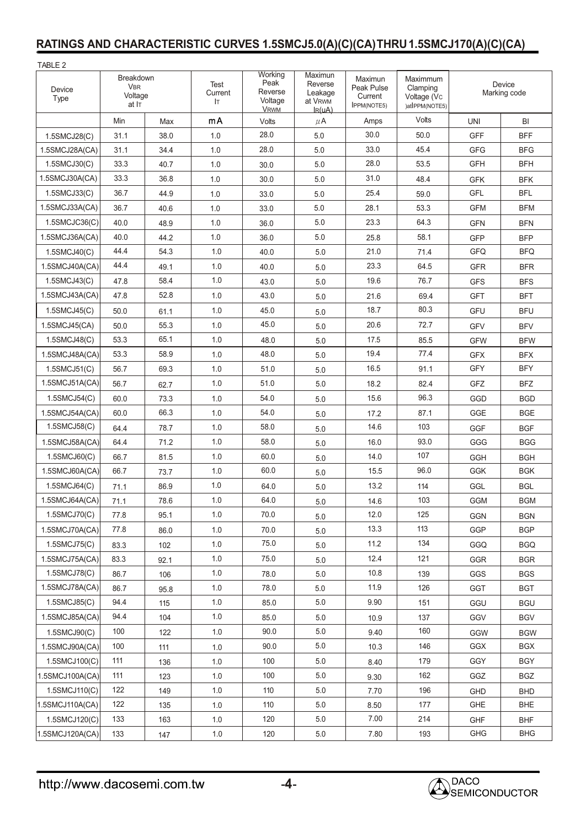### **RATINGS AND CHARACTERISTIC CURVES 1.5SMCJ5.0(A)(C)(CA)THRU1.5SMCJ170(A)(C)(CA)**

| TABLE 2         |                                             |      |                        |                                                      |                                                         |                                                        |                                                       |                        |            |
|-----------------|---------------------------------------------|------|------------------------|------------------------------------------------------|---------------------------------------------------------|--------------------------------------------------------|-------------------------------------------------------|------------------------|------------|
| Device<br>Type  | Breakdown<br><b>VBR</b><br>Voltage<br>at IT |      | Test<br>Current<br>IT. | Working<br>Peak<br>Reverse<br>Voltage<br><b>VRWM</b> | Maximun<br>Reverse<br>Leakage<br>at VRWM<br>$I_{R}(uA)$ | Maximun<br>Peak Pulse<br>Current<br><b>IPPM(NOTE5)</b> | Maximmum<br>Clamping<br>Voltage (Vc<br>)atIPPM(NOTE5) | Device<br>Marking code |            |
|                 | Min                                         | Max  | mA                     | Volts                                                | $\mu$ A                                                 | Amps                                                   | Volts                                                 | <b>UNI</b>             | BI         |
| 1.5SMCJ28(C)    | 31.1                                        | 38.0 | 1.0                    | 28.0                                                 | 5.0                                                     | 30.0                                                   | 50.0                                                  | <b>GFF</b>             | <b>BFF</b> |
| 1.5SMCJ28A(CA)  | 31.1                                        | 34.4 | 1.0                    | 28.0                                                 | 5.0                                                     | 33.0                                                   | 45.4                                                  | <b>GFG</b>             | <b>BFG</b> |
| 1.5SMCJ30(C)    | 33.3                                        | 40.7 | 1.0                    | 30.0                                                 | 5.0                                                     | 28.0                                                   | 53.5                                                  | <b>GFH</b>             | <b>BFH</b> |
| 1.5SMCJ30A(CA)  | 33.3                                        | 36.8 | 1.0                    | 30.0                                                 | 5.0                                                     | 31.0                                                   | 48.4                                                  | <b>GFK</b>             | <b>BFK</b> |
| 1.5SMCJ33(C)    | 36.7                                        | 44.9 | 1.0                    | 33.0                                                 | 5.0                                                     | 25.4                                                   | 59.0                                                  | <b>GFL</b>             | <b>BFL</b> |
| 1.5SMCJ33A(CA)  | 36.7                                        | 40.6 | 1.0                    | 33.0                                                 | 5.0                                                     | 28.1                                                   | 53.3                                                  | <b>GFM</b>             | <b>BFM</b> |
| 1.5SMCJC36(C)   | 40.0                                        | 48.9 | 1.0                    | 36.0                                                 | 5.0                                                     | 23.3                                                   | 64.3                                                  | <b>GFN</b>             | <b>BFN</b> |
| 1.5SMCJ36A(CA)  | 40.0                                        | 44.2 | 1.0                    | 36.0                                                 | 5.0                                                     | 25.8                                                   | 58.1                                                  | <b>GFP</b>             | <b>BFP</b> |
| 1.5SMCJ40(C)    | 44.4                                        | 54.3 | 1.0                    | 40.0                                                 | 5.0                                                     | 21.0                                                   | 71.4                                                  | <b>GFQ</b>             | <b>BFQ</b> |
| 1.5SMCJ40A(CA)  | 44.4                                        | 49.1 | 1.0                    | 40.0                                                 | 5.0                                                     | 23.3                                                   | 64.5                                                  | <b>GFR</b>             | <b>BFR</b> |
| 1.5SMCJ43(C)    | 47.8                                        | 58.4 | 1.0                    | 43.0                                                 | 5.0                                                     | 19.6                                                   | 76.7                                                  | <b>GFS</b>             | <b>BFS</b> |
| 1.5SMCJ43A(CA)  | 47.8                                        | 52.8 | 1.0                    | 43.0                                                 | 5.0                                                     | 21.6                                                   | 69.4                                                  | <b>GFT</b>             | <b>BFT</b> |
| 1.5SMCJ45(C)    | 50.0                                        | 61.1 | 1.0                    | 45.0                                                 | 5.0                                                     | 18.7                                                   | 80.3                                                  | GFU                    | <b>BFU</b> |
| 1.5SMCJ45(CA)   | 50.0                                        | 55.3 | 1.0                    | 45.0                                                 | 5.0                                                     | 20.6                                                   | 72.7                                                  | <b>GFV</b>             | <b>BFV</b> |
| 1.5SMCJ48(C)    | 53.3                                        | 65.1 | 1.0                    | 48.0                                                 | 5.0                                                     | 17.5                                                   | 85.5                                                  | <b>GFW</b>             | <b>BFW</b> |
| 1.5SMCJ48A(CA)  | 53.3                                        | 58.9 | 1.0                    | 48.0                                                 | 5.0                                                     | 19.4                                                   | 77.4                                                  | <b>GFX</b>             | <b>BFX</b> |
| 1.5SMCJ51(C)    | 56.7                                        | 69.3 | 1.0                    | 51.0                                                 | 5.0                                                     | 16.5                                                   | 91.1                                                  | <b>GFY</b>             | <b>BFY</b> |
| 1.5SMCJ51A(CA)  | 56.7                                        | 62.7 | 1.0                    | 51.0                                                 | 5.0                                                     | 18.2                                                   | 82.4                                                  | GFZ                    | <b>BFZ</b> |
| 1.5SMCJ54(C)    | 60.0                                        | 73.3 | 1.0                    | 54.0                                                 | 5.0                                                     | 15.6                                                   | 96.3                                                  | GGD                    | <b>BGD</b> |
| 1.5SMCJ54A(CA)  | 60.0                                        | 66.3 | 1.0                    | 54.0                                                 | 5.0                                                     | 17.2                                                   | 87.1                                                  | GGE                    | <b>BGE</b> |
| 1.5SMCJ58(C)    | 64.4                                        | 78.7 | 1.0                    | 58.0                                                 | 5.0                                                     | 14.6                                                   | 103                                                   | <b>GGF</b>             | <b>BGF</b> |
| 1.5SMCJ58A(CA)  | 64.4                                        | 71.2 | 1.0                    | 58.0                                                 | 5.0                                                     | 16.0                                                   | 93.0                                                  | GGG                    | <b>BGG</b> |
| $1.5$ SMCJ60(C) | 66.7                                        | 81.5 | 1.0                    | 60.0                                                 | 5.0                                                     | 14.0                                                   | 107                                                   | GGH                    | <b>BGH</b> |
| 1.5SMCJ60A(CA)  | 66.7                                        | 73.7 | 1.0                    | 60.0                                                 | 5.0                                                     | 15.5                                                   | 96.0                                                  | <b>GGK</b>             | <b>BGK</b> |
| 1.5SMCJ64(C)    | 71.1                                        | 86.9 | 1.0                    | 64.0                                                 | 5.0                                                     | 13.2                                                   | 114                                                   | GGL                    | <b>BGL</b> |
| 1.5SMCJ64A(CA)  | 71.1                                        | 78.6 | 1.0                    | 64.0                                                 | 5.0                                                     | 14.6                                                   | 103                                                   | GGM                    | BGM        |
| 1.5SMCJ70(C)    | 77.8                                        | 95.1 | 1.0                    | 70.0                                                 | 5.0                                                     | 12.0                                                   | 125                                                   | <b>GGN</b>             | <b>BGN</b> |
| 1.5SMCJ70A(CA)  | 77.8                                        | 86.0 | 1.0                    | 70.0                                                 | 5.0                                                     | 13.3                                                   | 113                                                   | GGP                    | <b>BGP</b> |
| 1.5SMCJ75(C)    | 83.3                                        | 102  | 1.0                    | 75.0                                                 | 5.0                                                     | 11.2                                                   | 134                                                   | GGQ                    | <b>BGQ</b> |
| 1.5SMCJ75A(CA)  | 83.3                                        | 92.1 | 1.0                    | 75.0                                                 | 5.0                                                     | 12.4                                                   | 121                                                   | GGR                    | <b>BGR</b> |
| 1.5SMCJ78(C)    | 86.7                                        | 106  | 1.0                    | 78.0                                                 | 5.0                                                     | 10.8                                                   | 139                                                   | GGS                    | <b>BGS</b> |
| 1.5SMCJ78A(CA)  | 86.7                                        | 95.8 | 1.0                    | 78.0                                                 | $5.0\,$                                                 | 11.9                                                   | 126                                                   | GGT                    | <b>BGT</b> |
| 1.5SMCJ85(C)    | 94.4                                        | 115  | 1.0                    | 85.0                                                 | 5.0                                                     | 9.90                                                   | 151                                                   | GGU                    | <b>BGU</b> |
| 1.5SMCJ85A(CA)  | 94.4                                        | 104  | 1.0                    | 85.0                                                 | 5.0                                                     | 10.9                                                   | 137                                                   | GGV                    | <b>BGV</b> |
| 1.5SMCJ90(C)    | 100                                         | 122  | 1.0                    | 90.0                                                 | 5.0                                                     | 9.40                                                   | 160                                                   | <b>GGW</b>             | <b>BGW</b> |
| 1.5SMCJ90A(CA)  | 100                                         | 111  | 1.0                    | 90.0                                                 | 5.0                                                     | 10.3                                                   | 146                                                   | GGX                    | <b>BGX</b> |
| 1.5SMCJ100(C)   | 111                                         | 136  | 1.0                    | 100                                                  | 5.0                                                     | 8.40                                                   | 179                                                   | GGY                    | <b>BGY</b> |
| 1.5SMCJ100A(CA) | 111                                         | 123  | 1.0                    | 100                                                  | 5.0                                                     | 9.30                                                   | 162                                                   | GGZ                    | <b>BGZ</b> |
| 1.5SMCJ110(C)   | 122                                         | 149  | 1.0                    | 110                                                  | 5.0                                                     | 7.70                                                   | 196                                                   | GHD                    | <b>BHD</b> |
| 1.5SMCJ110A(CA) | 122                                         | 135  | 1.0                    | 110                                                  | 5.0                                                     | 8.50                                                   | 177                                                   | GHE                    | <b>BHE</b> |
| 1.5SMCJ120(C)   | 133                                         | 163  | 1.0                    | 120                                                  | 5.0                                                     | 7.00                                                   | 214                                                   | <b>GHF</b>             | <b>BHF</b> |
| 1.5SMCJ120A(CA) | 133                                         | 147  | $1.0\,$                | 120                                                  | $5.0\,$                                                 | 7.80                                                   | 193                                                   | GHG                    | <b>BHG</b> |